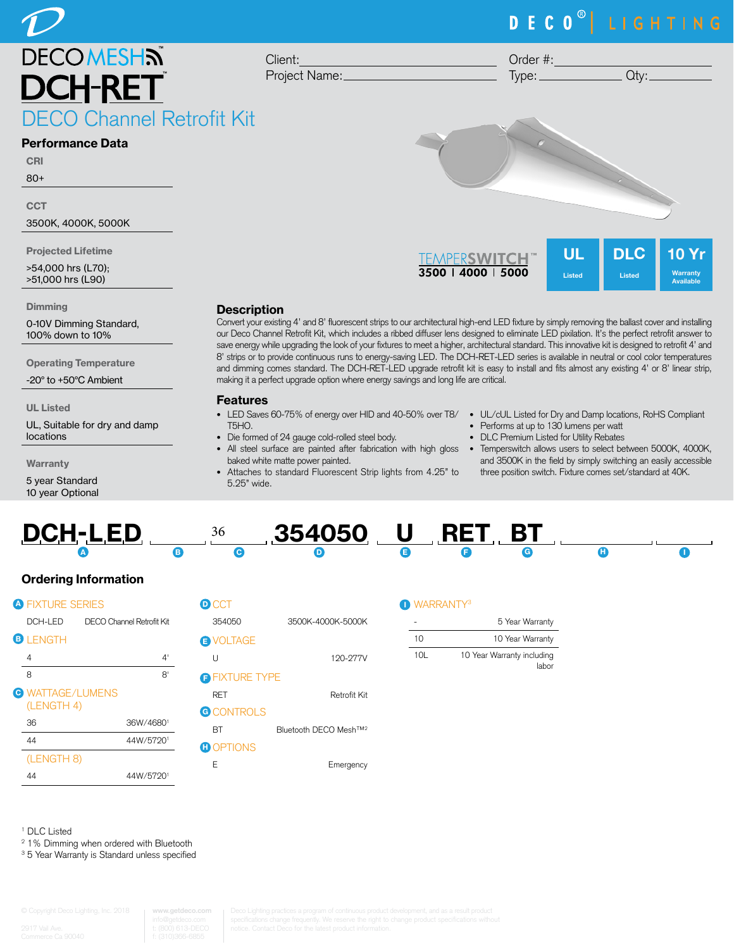## DECO<sup>®</sup> LIGHTING

**DECOMESHN** O Channel Retrofit Kit

#### Performance Data

**CRI** 80+

**CCT** 

3500K, 4000K, 5000K

Projected Lifetime

>54,000 hrs (L70); >51,000 hrs (L90)

**Dimming** 

0-10V Dimming Standard, 100% down to 10%

Operating Temperature

-20° to +50°C Ambient

UL Listed

UL, Suitable for dry and damp locations

**Warranty** 

5 year Standard 10 year Optional Project Name: Order #:  $Type:$   $Qty:$ 



#### **Description**

Client:

Convert your existing 4' and 8' fluorescent strips to our architectural high-end LED fixture by simply removing the ballast cover and installing our Deco Channel Retrofit Kit, which includes a ribbed diffuser lens designed to eliminate LED pixilation. It's the perfect retrofit answer to save energy while upgrading the look of your fixtures to meet a higher, architectural standard. This innovative kit is designed to retrofit 4' and 8' strips or to provide continuous runs to energy-saving LED. The DCH-RET-LED series is available in neutral or cool color temperatures and dimming comes standard. The DCH-RET-LED upgrade retrofit kit is easy to install and fits almost any existing 4' or 8' linear strip, making it a perfect upgrade option where energy savings and long life are critical.

#### Features

- LED Saves 60-75% of energy over HID and 40-50% over T8/ UL/cUL Listed for Dry and Damp locations, RoHS Compliant T5HO.
- Die formed of 24 gauge cold-rolled steel body.
- baked white matte power painted.
- Attaches to standard Fluorescent Strip lights from 4.25" to 5.25" wide.
- 

Available

- Performs at up to 130 lumens per watt
- DLC Premium Listed for Utility Rebates
- All steel surface are painted after fabrication with high gloss Temperswitch allows users to select between 5000K, 4000K, and 3500K in the field by simply switching an easily accessible three position switch. Fixture comes set/standard at 40K.



### Ordering Information

| <b>A FIXTURE SERIES</b>               | D                         |   |
|---------------------------------------|---------------------------|---|
| DCH-LED                               | DECO Channel Retrofit Kit |   |
| <b>B</b> LENGTH                       |                           | Ë |
| 4                                     | 4'                        |   |
| 8                                     | R'                        | F |
| <b>C</b> WATTAGE/LUMENS<br>(LENGTH 4) |                           | G |
| 36                                    | 36W/46801                 |   |
| 44                                    | 44W/57201                 | Ĥ |
| (LENGTH 8)                            |                           |   |
| 44                                    | 44W/57201                 |   |

| <b>D</b> CCT          |                                    |
|-----------------------|------------------------------------|
| 354050                | 3500K-4000K-5000K                  |
| <b>B</b> VOLTAGE      |                                    |
| U                     | 120-277V                           |
| <b>O</b> FIXTURE TYPE |                                    |
| <b>RFT</b>            | Retrofit Kit                       |
| <b>G</b> CONTROLS     |                                    |
| RТ                    | Bluetooth DECO Mesh <sup>TM2</sup> |
| <b>O</b> OPTIONS      |                                    |
|                       |                                    |

E Emergency

#### **NARRANTY<sup>3</sup>**

| 5 Year Warranty                     |     |  |
|-------------------------------------|-----|--|
| 10 Year Warranty                    | 10  |  |
| 10 Year Warranty including<br>labor | 10I |  |

1 DLC Listed

2 1% Dimming when ordered with Bluetooth

<sup>3</sup> 5 Year Warranty is Standard unless specified

**www.getdeco.com**